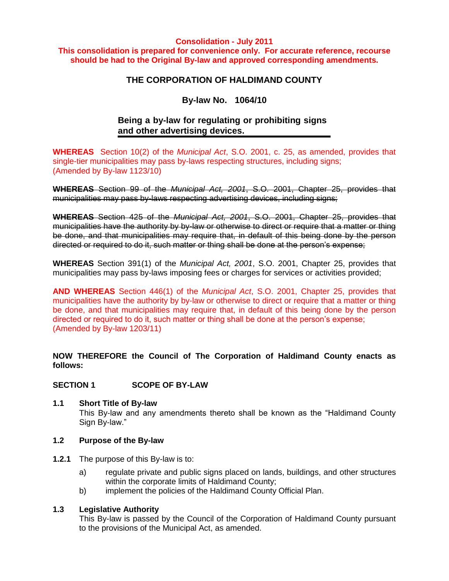#### **Consolidation - July 2011**

**This consolidation is prepared for convenience only. For accurate reference, recourse should be had to the Original By-law and approved corresponding amendments.**

# **THE CORPORATION OF HALDIMAND COUNTY**

# **By-law No. 1064/10**

# **Being a by-law for regulating or prohibiting signs and other advertising devices.**

**WHEREAS** Section 10(2) of the *Municipal Act*, S.O. 2001, c. 25, as amended, provides that single-tier municipalities may pass by-laws respecting structures, including signs; (Amended by By-law 1123/10)

**WHEREAS** Section 99 of the *Municipal Act, 2001*, S.O. 2001, Chapter 25, provides that municipalities may pass by-laws respecting advertising devices, including signs;

**WHEREAS** Section 425 of the *Municipal Act, 2001*, S.O. 2001, Chapter 25, provides that municipalities have the authority by by-law or otherwise to direct or require that a matter or thing be done, and that municipalities may require that, in default of this being done by the person directed or required to do it, such matter or thing shall be done at the person's expense;

**WHEREAS** Section 391(1) of the *Municipal Act, 2001*, S.O. 2001, Chapter 25, provides that municipalities may pass by-laws imposing fees or charges for services or activities provided;

**AND WHEREAS** Section 446(1) of the *Municipal Act*, S.O. 2001, Chapter 25, provides that municipalities have the authority by by-law or otherwise to direct or require that a matter or thing be done, and that municipalities may require that, in default of this being done by the person directed or required to do it, such matter or thing shall be done at the person's expense; (Amended by By-law 1203/11)

**NOW THEREFORE the Council of The Corporation of Haldimand County enacts as follows:**

# **SECTION 1 SCOPE OF BY-LAW**

# **1.1 Short Title of By-law**

This By-law and any amendments thereto shall be known as the "Haldimand County Sign By-law."

# **1.2 Purpose of the By-law**

- **1.2.1** The purpose of this By-law is to:
	- a) regulate private and public signs placed on lands, buildings, and other structures within the corporate limits of Haldimand County;
	- b) implement the policies of the Haldimand County Official Plan.

# **1.3 Legislative Authority**

This By-law is passed by the Council of the Corporation of Haldimand County pursuant to the provisions of the Municipal Act, as amended.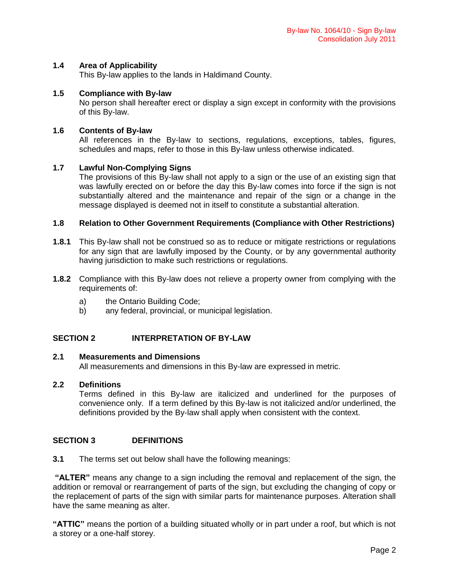# **1.4 Area of Applicability**

This By-law applies to the lands in Haldimand County.

# **1.5 Compliance with By-law**

No person shall hereafter erect or display a sign except in conformity with the provisions of this By-law.

# **1.6 Contents of By-law**

All references in the By-law to sections, regulations, exceptions, tables, figures, schedules and maps, refer to those in this By-law unless otherwise indicated.

# **1.7 Lawful Non-Complying Signs**

The provisions of this By-law shall not apply to a sign or the use of an existing sign that was lawfully erected on or before the day this By-law comes into force if the sign is not substantially altered and the maintenance and repair of the sign or a change in the message displayed is deemed not in itself to constitute a substantial alteration.

# **1.8 Relation to Other Government Requirements (Compliance with Other Restrictions)**

- **1.8.1** This By-law shall not be construed so as to reduce or mitigate restrictions or regulations for any sign that are lawfully imposed by the County, or by any governmental authority having jurisdiction to make such restrictions or regulations.
- **1.8.2** Compliance with this By-law does not relieve a property owner from complying with the requirements of:
	- a) the Ontario Building Code;
	- b) any federal, provincial, or municipal legislation.

# **SECTION 2 INTERPRETATION OF BY-LAW**

# **2.1 Measurements and Dimensions**

All measurements and dimensions in this By-law are expressed in metric.

# **2.2 Definitions**

Terms defined in this By-law are italicized and underlined for the purposes of convenience only. If a term defined by this By-law is not italicized and/or underlined, the definitions provided by the By-law shall apply when consistent with the context.

# **SECTION 3 DEFINITIONS**

**3.1** The terms set out below shall have the following meanings:

**"ALTER"** means any change to a sign including the removal and replacement of the sign, the addition or removal or rearrangement of parts of the sign, but excluding the changing of copy or the replacement of parts of the sign with similar parts for maintenance purposes. Alteration shall have the same meaning as alter.

**"ATTIC"** means the portion of a building situated wholly or in part under a roof, but which is not a storey or a one-half storey.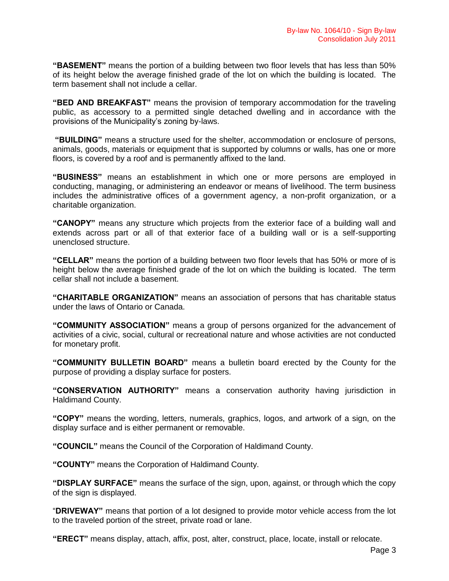**"BASEMENT"** means the portion of a building between two floor levels that has less than 50% of its height below the average finished grade of the lot on which the building is located. The term basement shall not include a cellar.

**"BED AND BREAKFAST"** means the provision of temporary accommodation for the traveling public, as accessory to a permitted single detached dwelling and in accordance with the provisions of the Municipality's zoning by-laws.

**"BUILDING"** means a structure used for the shelter, accommodation or enclosure of persons, animals, goods, materials or equipment that is supported by columns or walls, has one or more floors, is covered by a roof and is permanently affixed to the land.

**"BUSINESS"** means an establishment in which one or more persons are employed in conducting, managing, or administering an endeavor or means of livelihood. The term business includes the administrative offices of a government agency, a non-profit organization, or a charitable organization.

**"CANOPY"** means any structure which projects from the exterior face of a building wall and extends across part or all of that exterior face of a building wall or is a self-supporting unenclosed structure.

**"CELLAR"** means the portion of a building between two floor levels that has 50% or more of is height below the average finished grade of the lot on which the building is located. The term cellar shall not include a basement.

**"CHARITABLE ORGANIZATION"** means an association of persons that has charitable status under the laws of Ontario or Canada.

**"COMMUNITY ASSOCIATION"** means a group of persons organized for the advancement of activities of a civic, social, cultural or recreational nature and whose activities are not conducted for monetary profit.

**"COMMUNITY BULLETIN BOARD"** means a bulletin board erected by the County for the purpose of providing a display surface for posters.

**"CONSERVATION AUTHORITY"** means a conservation authority having jurisdiction in Haldimand County.

**"COPY"** means the wording, letters, numerals, graphics, logos, and artwork of a sign, on the display surface and is either permanent or removable.

**"COUNCIL"** means the Council of the Corporation of Haldimand County.

**"COUNTY"** means the Corporation of Haldimand County.

**"DISPLAY SURFACE"** means the surface of the sign, upon, against, or through which the copy of the sign is displayed.

"**DRIVEWAY"** means that portion of a lot designed to provide motor vehicle access from the lot to the traveled portion of the street, private road or lane.

**"ERECT"** means display, attach, affix, post, alter, construct, place, locate, install or relocate.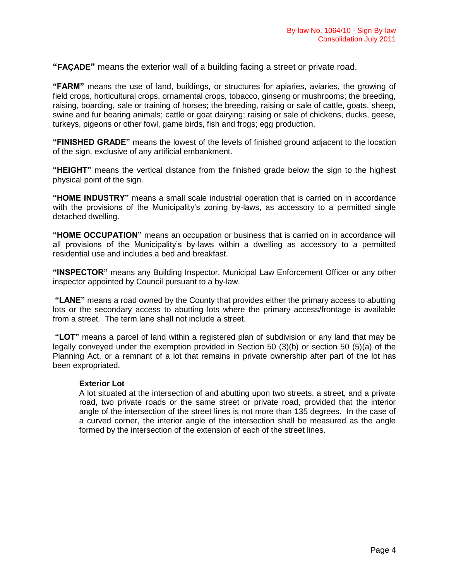**"FAÇADE"** means the exterior wall of a building facing a street or private road.

**"FARM"** means the use of land, buildings, or structures for apiaries, aviaries, the growing of field crops, horticultural crops, ornamental crops, tobacco, ginseng or mushrooms; the breeding, raising, boarding, sale or training of horses; the breeding, raising or sale of cattle, goats, sheep, swine and fur bearing animals; cattle or goat dairying; raising or sale of chickens, ducks, geese, turkeys, pigeons or other fowl, game birds, fish and frogs; egg production.

**"FINISHED GRADE"** means the lowest of the levels of finished ground adjacent to the location of the sign, exclusive of any artificial embankment.

**"HEIGHT"** means the vertical distance from the finished grade below the sign to the highest physical point of the sign.

**"HOME INDUSTRY"** means a small scale industrial operation that is carried on in accordance with the provisions of the Municipality's zoning by-laws, as accessory to a permitted single detached dwelling.

**"HOME OCCUPATION"** means an occupation or business that is carried on in accordance will all provisions of the Municipality's by-laws within a dwelling as accessory to a permitted residential use and includes a bed and breakfast.

**"INSPECTOR"** means any Building Inspector, Municipal Law Enforcement Officer or any other inspector appointed by Council pursuant to a by-law.

**"LANE"** means a road owned by the County that provides either the primary access to abutting lots or the secondary access to abutting lots where the primary access/frontage is available from a street. The term lane shall not include a street.

**"LOT"** means a parcel of land within a registered plan of subdivision or any land that may be legally conveyed under the exemption provided in Section 50 (3)(b) or section 50 (5)(a) of the Planning Act, or a remnant of a lot that remains in private ownership after part of the lot has been expropriated.

# **Exterior Lot**

A lot situated at the intersection of and abutting upon two streets, a street, and a private road, two private roads or the same street or private road, provided that the interior angle of the intersection of the street lines is not more than 135 degrees. In the case of a curved corner, the interior angle of the intersection shall be measured as the angle formed by the intersection of the extension of each of the street lines.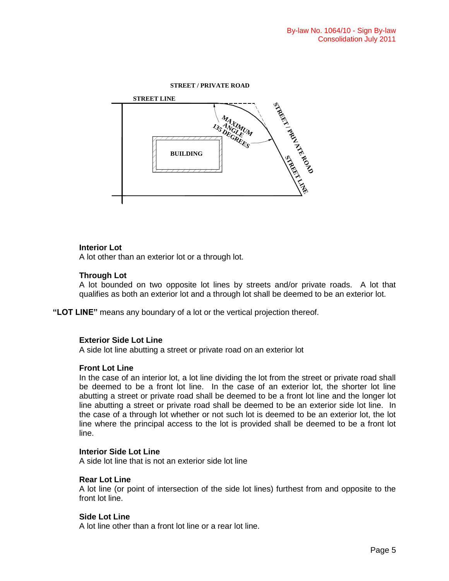#### **STREET / PRIVATE ROAD**



# **Interior Lot**

A lot other than an exterior lot or a through lot.

# **Through Lot**

A lot bounded on two opposite lot lines by streets and/or private roads. A lot that qualifies as both an exterior lot and a through lot shall be deemed to be an exterior lot.

**"LOT LINE"** means any boundary of a lot or the vertical projection thereof.

# **Exterior Side Lot Line**

A side lot line abutting a street or private road on an exterior lot

# **Front Lot Line**

In the case of an interior lot, a lot line dividing the lot from the street or private road shall be deemed to be a front lot line. In the case of an exterior lot, the shorter lot line abutting a street or private road shall be deemed to be a front lot line and the longer lot line abutting a street or private road shall be deemed to be an exterior side lot line. In the case of a through lot whether or not such lot is deemed to be an exterior lot, the lot line where the principal access to the lot is provided shall be deemed to be a front lot line.

# **Interior Side Lot Line**

A side lot line that is not an exterior side lot line

# **Rear Lot Line**

A lot line (or point of intersection of the side lot lines) furthest from and opposite to the front lot line.

# **Side Lot Line**

A lot line other than a front lot line or a rear lot line.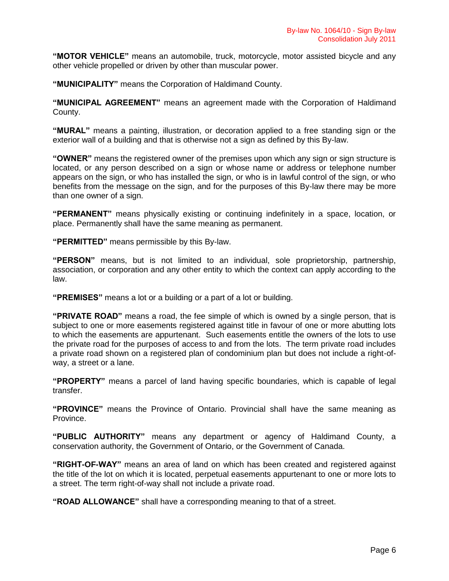**"MOTOR VEHICLE"** means an automobile, truck, motorcycle, motor assisted bicycle and any other vehicle propelled or driven by other than muscular power.

**"MUNICIPALITY"** means the Corporation of Haldimand County.

**"MUNICIPAL AGREEMENT"** means an agreement made with the Corporation of Haldimand County.

**"MURAL"** means a painting, illustration, or decoration applied to a free standing sign or the exterior wall of a building and that is otherwise not a sign as defined by this By-law.

**"OWNER"** means the registered owner of the premises upon which any sign or sign structure is located, or any person described on a sign or whose name or address or telephone number appears on the sign, or who has installed the sign, or who is in lawful control of the sign, or who benefits from the message on the sign, and for the purposes of this By-law there may be more than one owner of a sign.

**"PERMANENT"** means physically existing or continuing indefinitely in a space, location, or place. Permanently shall have the same meaning as permanent.

**"PERMITTED"** means permissible by this By-law.

**"PERSON"** means, but is not limited to an individual, sole proprietorship, partnership, association, or corporation and any other entity to which the context can apply according to the law.

**"PREMISES"** means a lot or a building or a part of a lot or building.

**"PRIVATE ROAD"** means a road, the fee simple of which is owned by a single person, that is subject to one or more easements registered against title in favour of one or more abutting lots to which the easements are appurtenant. Such easements entitle the owners of the lots to use the private road for the purposes of access to and from the lots. The term private road includes a private road shown on a registered plan of condominium plan but does not include a right-ofway, a street or a lane.

**"PROPERTY"** means a parcel of land having specific boundaries, which is capable of legal transfer.

**"PROVINCE"** means the Province of Ontario. Provincial shall have the same meaning as Province.

**"PUBLIC AUTHORITY"** means any department or agency of Haldimand County, a conservation authority, the Government of Ontario, or the Government of Canada.

**"RIGHT-OF-WAY"** means an area of land on which has been created and registered against the title of the lot on which it is located, perpetual easements appurtenant to one or more lots to a street. The term right-of-way shall not include a private road.

**"ROAD ALLOWANCE"** shall have a corresponding meaning to that of a street.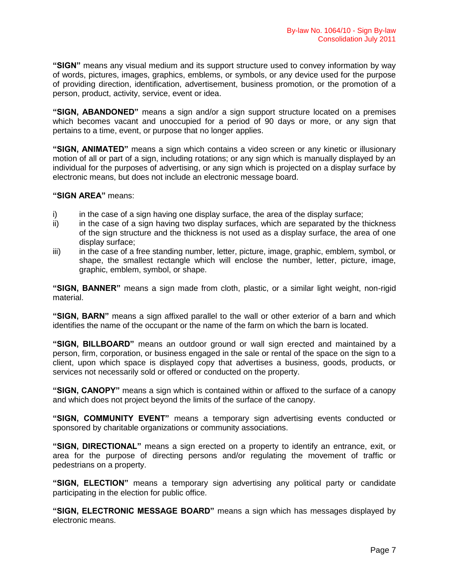**"SIGN"** means any visual medium and its support structure used to convey information by way of words, pictures, images, graphics, emblems, or symbols, or any device used for the purpose of providing direction, identification, advertisement, business promotion, or the promotion of a person, product, activity, service, event or idea.

**"SIGN, ABANDONED"** means a sign and/or a sign support structure located on a premises which becomes vacant and unoccupied for a period of 90 days or more, or any sign that pertains to a time, event, or purpose that no longer applies.

**"SIGN, ANIMATED"** means a sign which contains a video screen or any kinetic or illusionary motion of all or part of a sign, including rotations; or any sign which is manually displayed by an individual for the purposes of advertising, or any sign which is projected on a display surface by electronic means, but does not include an electronic message board.

**"SIGN AREA"** means:

- i) in the case of a sign having one display surface, the area of the display surface;
- ii) in the case of a sign having two display surfaces, which are separated by the thickness of the sign structure and the thickness is not used as a display surface, the area of one display surface;
- iii) in the case of a free standing number, letter, picture, image, graphic, emblem, symbol, or shape, the smallest rectangle which will enclose the number, letter, picture, image, graphic, emblem, symbol, or shape.

**"SIGN, BANNER"** means a sign made from cloth, plastic, or a similar light weight, non-rigid material.

**"SIGN, BARN"** means a sign affixed parallel to the wall or other exterior of a barn and which identifies the name of the occupant or the name of the farm on which the barn is located.

**"SIGN, BILLBOARD"** means an outdoor ground or wall sign erected and maintained by a person, firm, corporation, or business engaged in the sale or rental of the space on the sign to a client, upon which space is displayed copy that advertises a business, goods, products, or services not necessarily sold or offered or conducted on the property.

**"SIGN, CANOPY"** means a sign which is contained within or affixed to the surface of a canopy and which does not project beyond the limits of the surface of the canopy.

**"SIGN, COMMUNITY EVENT"** means a temporary sign advertising events conducted or sponsored by charitable organizations or community associations.

**"SIGN, DIRECTIONAL"** means a sign erected on a property to identify an entrance, exit, or area for the purpose of directing persons and/or regulating the movement of traffic or pedestrians on a property.

**"SIGN, ELECTION"** means a temporary sign advertising any political party or candidate participating in the election for public office.

**"SIGN, ELECTRONIC MESSAGE BOARD"** means a sign which has messages displayed by electronic means.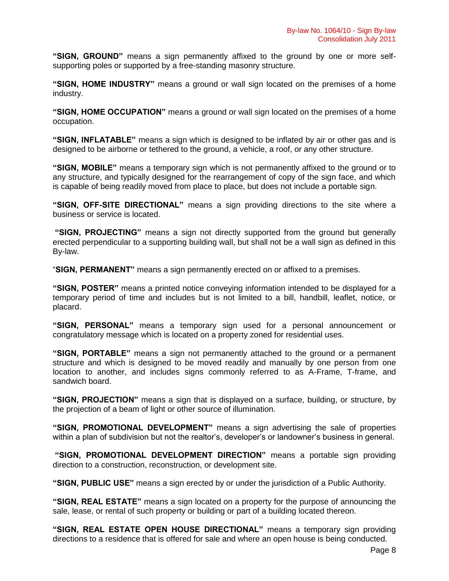**"SIGN, GROUND"** means a sign permanently affixed to the ground by one or more selfsupporting poles or supported by a free-standing masonry structure.

**"SIGN, HOME INDUSTRY"** means a ground or wall sign located on the premises of a home industry.

**"SIGN, HOME OCCUPATION"** means a ground or wall sign located on the premises of a home occupation.

**"SIGN, INFLATABLE"** means a sign which is designed to be inflated by air or other gas and is designed to be airborne or tethered to the ground, a vehicle, a roof, or any other structure.

**"SIGN, MOBILE"** means a temporary sign which is not permanently affixed to the ground or to any structure, and typically designed for the rearrangement of copy of the sign face, and which is capable of being readily moved from place to place, but does not include a portable sign.

**"SIGN, OFF-SITE DIRECTIONAL"** means a sign providing directions to the site where a business or service is located.

**"SIGN, PROJECTING"** means a sign not directly supported from the ground but generally erected perpendicular to a supporting building wall, but shall not be a wall sign as defined in this By-law.

"**SIGN, PERMANENT"** means a sign permanently erected on or affixed to a premises.

**"SIGN, POSTER"** means a printed notice conveying information intended to be displayed for a temporary period of time and includes but is not limited to a bill, handbill, leaflet, notice, or placard.

**"SIGN, PERSONAL"** means a temporary sign used for a personal announcement or congratulatory message which is located on a property zoned for residential uses.

**"SIGN, PORTABLE"** means a sign not permanently attached to the ground or a permanent structure and which is designed to be moved readily and manually by one person from one location to another, and includes signs commonly referred to as A-Frame, T-frame, and sandwich board.

**"SIGN, PROJECTION"** means a sign that is displayed on a surface, building, or structure, by the projection of a beam of light or other source of illumination.

**"SIGN, PROMOTIONAL DEVELOPMENT"** means a sign advertising the sale of properties within a plan of subdivision but not the realtor's, developer's or landowner's business in general.

**"SIGN, PROMOTIONAL DEVELOPMENT DIRECTION"** means a portable sign providing direction to a construction, reconstruction, or development site.

**"SIGN, PUBLIC USE"** means a sign erected by or under the jurisdiction of a Public Authority.

**"SIGN, REAL ESTATE"** means a sign located on a property for the purpose of announcing the sale, lease, or rental of such property or building or part of a building located thereon.

**"SIGN, REAL ESTATE OPEN HOUSE DIRECTIONAL"** means a temporary sign providing directions to a residence that is offered for sale and where an open house is being conducted.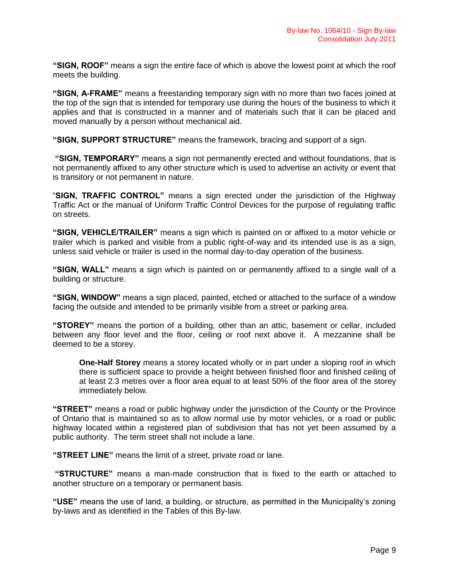**"SIGN, ROOF"** means a sign the entire face of which is above the lowest point at which the roof meets the building.

**"SIGN, A-FRAME"** means a freestanding temporary sign with no more than two faces joined at the top of the sign that is intended for temporary use during the hours of the business to which it applies and that is constructed in a manner and of materials such that it can be placed and moved manually by a person without mechanical aid.

**"SIGN, SUPPORT STRUCTURE"** means the framework, bracing and support of a sign.

**"SIGN, TEMPORARY"** means a sign not permanently erected and without foundations, that is not permanently affixed to any other structure which is used to advertise an activity or event that is transitory or not permanent in nature.

"**SIGN, TRAFFIC CONTROL"** means a sign erected under the jurisdiction of the Highway Traffic Act or the manual of Uniform Traffic Control Devices for the purpose of regulating traffic on streets.

**"SIGN, VEHICLE/TRAILER"** means a sign which is painted on or affixed to a motor vehicle or trailer which is parked and visible from a public right-of-way and its intended use is as a sign, unless said vehicle or trailer is used in the normal day-to-day operation of the business.

**"SIGN, WALL"** means a sign which is painted on or permanently affixed to a single wall of a building or structure.

**"SIGN, WINDOW"** means a sign placed, painted, etched or attached to the surface of a window facing the outside and intended to be primarily visible from a street or parking area.

**"STOREY"** means the portion of a building, other than an attic, basement or cellar, included between any floor level and the floor, ceiling or roof next above it. A mezzanine shall be deemed to be a storey.

**One-Half Storey** means a storey located wholly or in part under a sloping roof in which there is sufficient space to provide a height between finished floor and finished ceiling of at least 2.3 metres over a floor area equal to at least 50% of the floor area of the storey immediately below.

**"STREET"** means a road or public highway under the jurisdiction of the County or the Province of Ontario that is maintained so as to allow normal use by motor vehicles, or a road or public highway located within a registered plan of subdivision that has not yet been assumed by a public authority. The term street shall not include a lane.

**"STREET LINE"** means the limit of a street, private road or lane.

**"STRUCTURE"** means a man-made construction that is fixed to the earth or attached to another structure on a temporary or permanent basis.

**"USE"** means the use of land, a building, or structure, as permitted in the Municipality's zoning by-laws and as identified in the Tables of this By-law.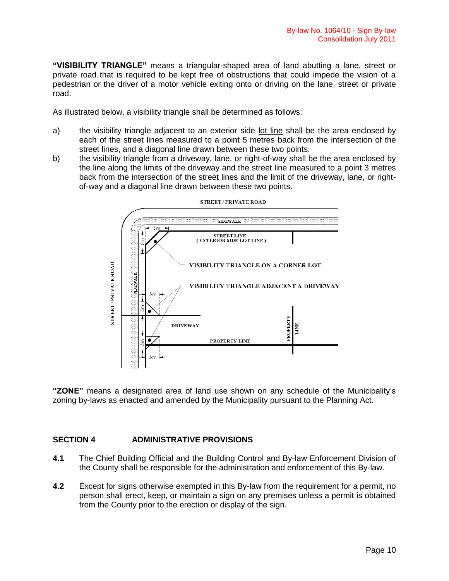**"VISIBILITY TRIANGLE"** means a triangular-shaped area of land abutting a lane, street or private road that is required to be kept free of obstructions that could impede the vision of a pedestrian or the driver of a motor vehicle exiting onto or driving on the lane, street or private road.

As illustrated below, a visibility triangle shall be determined as follows:

- a) the visibility triangle adjacent to an exterior side lot line shall be the area enclosed by each of the street lines measured to a point 5 metres back from the intersection of the street lines, and a diagonal line drawn between these two points:
- b) the visibility triangle from a driveway, lane, or right-of-way shall be the area enclosed by the line along the limits of the driveway and the street line measured to a point 3 metres back from the intersection of the street lines and the limit of the driveway, lane, or rightof-way and a diagonal line drawn between these two points.



**STREET / PRIVATE ROAD** 

**"ZONE"** means a designated area of land use shown on any schedule of the Municipality's zoning by-laws as enacted and amended by the Municipality pursuant to the Planning Act.

# **SECTION 4 ADMINISTRATIVE PROVISIONS**

- **4.1** The Chief Building Official and the Building Control and By-law Enforcement Division of the County shall be responsible for the administration and enforcement of this By-law.
- **4.2** Except for signs otherwise exempted in this By-law from the requirement for a permit, no person shall erect, keep, or maintain a sign on any premises unless a permit is obtained from the County prior to the erection or display of the sign.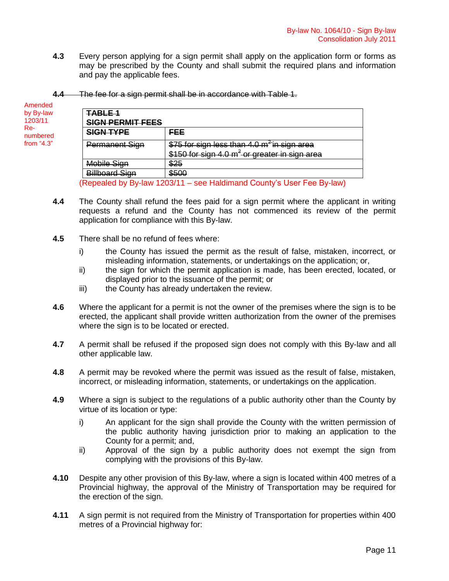**4.3** Every person applying for a sign permit shall apply on the application form or forms as may be prescribed by the County and shall submit the required plans and information and pay the applicable fees.

| 4.4 The fee for a sign permit shall be in accordance with Table 1. |  |  |  |
|--------------------------------------------------------------------|--|--|--|
|                                                                    |  |  |  |

| Amended           |                         |                                                           |
|-------------------|-------------------------|-----------------------------------------------------------|
| by By-law         | <b>TABLE 1</b>          |                                                           |
| 1203/11           | <b>SIGN PERMIT FEES</b> |                                                           |
| $Re-$<br>numbered | <b>SIGN TYPE</b>        | <b>FEE</b>                                                |
| from $4.3$ "      | Permanent Sign          | \$75 for sign less than 4.0 m <sup>2</sup> in sign area   |
|                   |                         | \$150 for sign 4.0 m <sup>2</sup> or greater in sign area |
|                   | <b>Mobile Sign</b>      | \$25                                                      |
|                   | <b>Billboard Sign</b>   | \$500                                                     |

(Repealed by By-law 1203/11 – see Haldimand County's User Fee By-law)

- **4.4** The County shall refund the fees paid for a sign permit where the applicant in writing requests a refund and the County has not commenced its review of the permit application for compliance with this By-law.
- **4.5** There shall be no refund of fees where:
	- i) the County has issued the permit as the result of false, mistaken, incorrect, or misleading information, statements, or undertakings on the application; or,
	- ii) the sign for which the permit application is made, has been erected, located, or displayed prior to the issuance of the permit; or
	- iii) the County has already undertaken the review.
- **4.6** Where the applicant for a permit is not the owner of the premises where the sign is to be erected, the applicant shall provide written authorization from the owner of the premises where the sign is to be located or erected.
- **4.7** A permit shall be refused if the proposed sign does not comply with this By-law and all other applicable law.
- **4.8** A permit may be revoked where the permit was issued as the result of false, mistaken, incorrect, or misleading information, statements, or undertakings on the application.
- **4.9** Where a sign is subject to the regulations of a public authority other than the County by virtue of its location or type:
	- i) An applicant for the sign shall provide the County with the written permission of the public authority having jurisdiction prior to making an application to the County for a permit; and,
	- ii) Approval of the sign by a public authority does not exempt the sign from complying with the provisions of this By-law.
- **4.10** Despite any other provision of this By-law, where a sign is located within 400 metres of a Provincial highway, the approval of the Ministry of Transportation may be required for the erection of the sign.
- **4.11** A sign permit is not required from the Ministry of Transportation for properties within 400 metres of a Provincial highway for: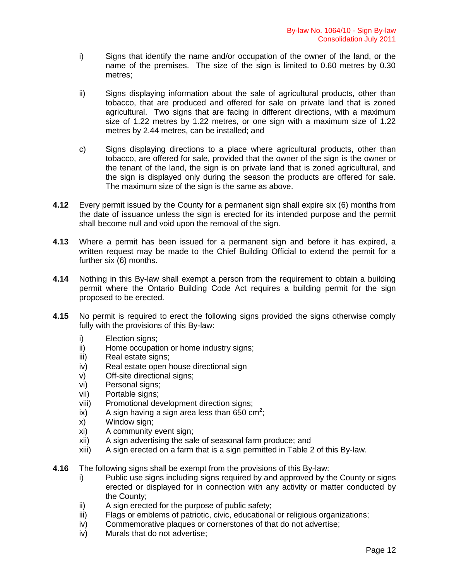- i) Signs that identify the name and/or occupation of the owner of the land, or the name of the premises. The size of the sign is limited to 0.60 metres by 0.30 metres;
- ii) Signs displaying information about the sale of agricultural products, other than tobacco, that are produced and offered for sale on private land that is zoned agricultural. Two signs that are facing in different directions, with a maximum size of 1.22 metres by 1.22 metres, or one sign with a maximum size of 1.22 metres by 2.44 metres, can be installed; and
- c) Signs displaying directions to a place where agricultural products, other than tobacco, are offered for sale, provided that the owner of the sign is the owner or the tenant of the land, the sign is on private land that is zoned agricultural, and the sign is displayed only during the season the products are offered for sale. The maximum size of the sign is the same as above.
- **4.12** Every permit issued by the County for a permanent sign shall expire six (6) months from the date of issuance unless the sign is erected for its intended purpose and the permit shall become null and void upon the removal of the sign.
- **4.13** Where a permit has been issued for a permanent sign and before it has expired, a written request may be made to the Chief Building Official to extend the permit for a further six (6) months.
- **4.14** Nothing in this By-law shall exempt a person from the requirement to obtain a building permit where the Ontario Building Code Act requires a building permit for the sign proposed to be erected.
- **4.15** No permit is required to erect the following signs provided the signs otherwise comply fully with the provisions of this By-law:
	- i) Election signs;
	- ii) Home occupation or home industry signs;
	- iii) Real estate signs;
	- iv) Real estate open house directional sign
	- v) Off-site directional signs;
	- vi) Personal signs;
	- vii) Portable signs;
	- viii) Promotional development direction signs;
	- ix) A sign having a sign area less than 650 cm<sup>2</sup>;
	- x) Window sign;
	- xi) A community event sign;
	- xii) A sign advertising the sale of seasonal farm produce; and
	- xiii) A sign erected on a farm that is a sign permitted in Table 2 of this By-law.
- **4.16** The following signs shall be exempt from the provisions of this By-law:
	- i) Public use signs including signs required by and approved by the County or signs erected or displayed for in connection with any activity or matter conducted by the County;
	- ii) A sign erected for the purpose of public safety;
	- iii) Flags or emblems of patriotic, civic, educational or religious organizations;
	- iv) Commemorative plaques or cornerstones of that do not advertise;
	- iv) Murals that do not advertise;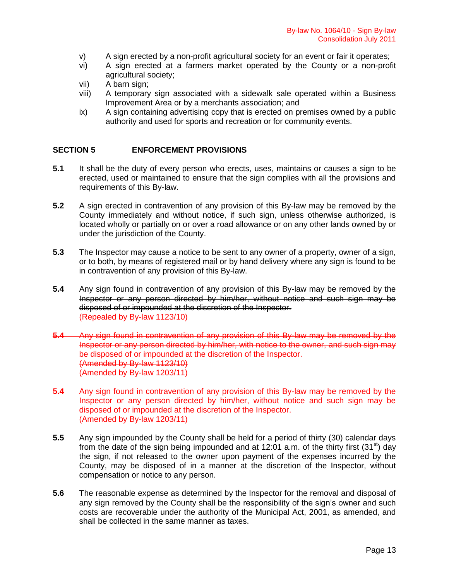- v) A sign erected by a non-profit agricultural society for an event or fair it operates;
- vi) A sign erected at a farmers market operated by the County or a non-profit agricultural society;
- vii) A barn sign;
- viii) A temporary sign associated with a sidewalk sale operated within a Business Improvement Area or by a merchants association; and
- ix) A sign containing advertising copy that is erected on premises owned by a public authority and used for sports and recreation or for community events.

# **SECTION 5 ENFORCEMENT PROVISIONS**

- **5.1** It shall be the duty of every person who erects, uses, maintains or causes a sign to be erected, used or maintained to ensure that the sign complies with all the provisions and requirements of this By-law.
- **5.2** A sign erected in contravention of any provision of this By-law may be removed by the County immediately and without notice, if such sign, unless otherwise authorized, is located wholly or partially on or over a road allowance or on any other lands owned by or under the jurisdiction of the County.
- **5.3** The Inspector may cause a notice to be sent to any owner of a property, owner of a sign, or to both, by means of registered mail or by hand delivery where any sign is found to be in contravention of any provision of this By-law.
- **5.4** Any sign found in contravention of any provision of this By-law may be removed by the Inspector or any person directed by him/her, without notice and such sign may be disposed of or impounded at the discretion of the Inspector. (Repealed by By-law 1123/10)
- **5.4** Any sign found in contravention of any provision of this By-law may be removed by the Inspector or any person directed by him/her, with notice to the owner, and such sign may be disposed of or impounded at the discretion of the Inspector. (Amended by By-law 1123/10) (Amended by By-law 1203/11)
- **5.4** Any sign found in contravention of any provision of this By-law may be removed by the Inspector or any person directed by him/her, without notice and such sign may be disposed of or impounded at the discretion of the Inspector. (Amended by By-law 1203/11)
- **5.5** Any sign impounded by the County shall be held for a period of thirty (30) calendar days from the date of the sign being impounded and at 12:01 a.m. of the thirty first (31<sup>st</sup>) day the sign, if not released to the owner upon payment of the expenses incurred by the County, may be disposed of in a manner at the discretion of the Inspector, without compensation or notice to any person.
- **5.6** The reasonable expense as determined by the Inspector for the removal and disposal of any sign removed by the County shall be the responsibility of the sign's owner and such costs are recoverable under the authority of the Municipal Act, 2001, as amended, and shall be collected in the same manner as taxes.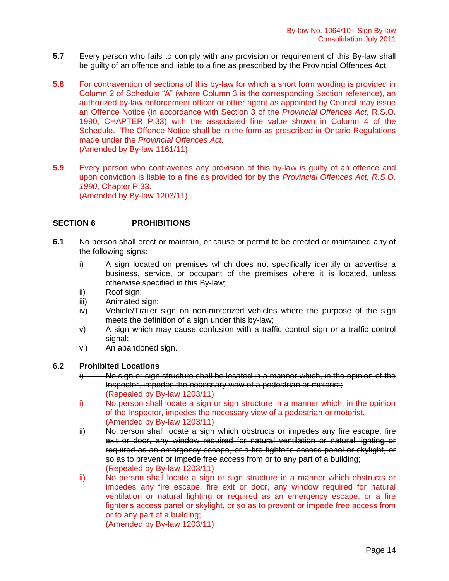- **5.7** Every person who fails to comply with any provision or requirement of this By-law shall be guilty of an offence and liable to a fine as prescribed by the Provincial Offences Act.
- **5.8** For contravention of sections of this by-law for which a short form wording is provided in Column 2 of Schedule "A" (where Column 3 is the corresponding Section reference), an authorized by-law enforcement officer or other agent as appointed by Council may issue an Offence Notice (in accordance with Section 3 of the *Provincial Offences Act*, R.S.O. 1990, CHAPTER P.33) with the associated fine value shown in Column 4 of the Schedule. The Offence Notice shall be in the form as prescribed in Ontario Regulations made under the *Provincial Offences Act*. (Amended by By-law 1161/11)
- **5.9** Every person who contravenes any provision of this by-law is guilty of an offence and upon conviction is liable to a fine as provided for by the *Provincial Offences Act, R.S.O. 1990*, Chapter P.33. (Amended by By-law 1203/11)

# **SECTION 6 PROHIBITIONS**

- **6.1** No person shall erect or maintain, or cause or permit to be erected or maintained any of the following signs:
	- i) A sign located on premises which does not specifically identify or advertise a business, service, or occupant of the premises where it is located, unless otherwise specified in this By-law;
	- ii) Roof sign;
	- iii) Animated sign:
	- iv) Vehicle/Trailer sign on non-motorized vehicles where the purpose of the sign meets the definition of a sign under this by-law;
	- v) A sign which may cause confusion with a traffic control sign or a traffic control signal;
	- vi) An abandoned sign.

# **6.2 Prohibited Locations**

- No sign or sign structure shall be located in a manner which, in the opinion of the Inspector, impedes the necessary view of a pedestrian or motorist; (Repealed by By-law 1203/11)
- i) No person shall locate a sign or sign structure in a manner which, in the opinion of the Inspector, impedes the necessary view of a pedestrian or motorist. (Amended by By-law 1203/11)
- ii) No person shall locate a sign which obstructs or impedes any fire escape, fire exit or door, any window required for natural ventilation or natural lighting or required as an emergency escape, or a fire fighter's access panel or skylight, or so as to prevent or impede free access from or to any part of a building; (Repealed by By-law 1203/11)
- ii) No person shall locate a sign or sign structure in a manner which obstructs or impedes any fire escape, fire exit or door, any window required for natural ventilation or natural lighting or required as an emergency escape, or a fire fighter's access panel or skylight, or so as to prevent or impede free access from or to any part of a building;

(Amended by By-law 1203/11)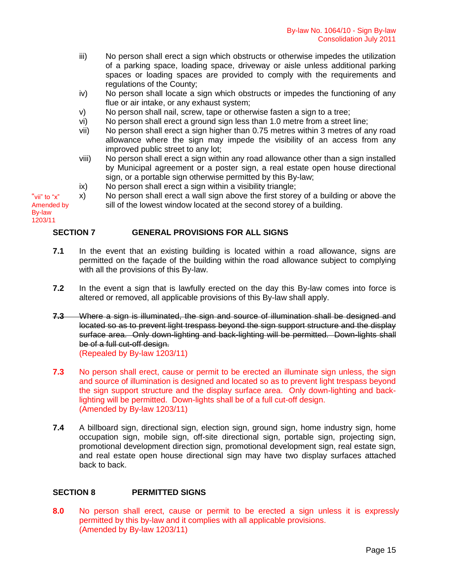- iii) No person shall erect a sign which obstructs or otherwise impedes the utilization of a parking space, loading space, driveway or aisle unless additional parking spaces or loading spaces are provided to comply with the requirements and regulations of the County;
- iv) No person shall locate a sign which obstructs or impedes the functioning of any flue or air intake, or any exhaust system;
- v) No person shall nail, screw, tape or otherwise fasten a sign to a tree;
- vi) No person shall erect a ground sign less than 1.0 metre from a street line;
- vii) No person shall erect a sign higher than 0.75 metres within 3 metres of any road allowance where the sign may impede the visibility of an access from any improved public street to any lot;
- viii) No person shall erect a sign within any road allowance other than a sign installed by Municipal agreement or a poster sign, a real estate open house directional sign, or a portable sign otherwise permitted by this By-law;
- ix) No person shall erect a sign within a visibility triangle;
- x) No person shall erect a wall sign above the first storey of a building or above the sill of the lowest window located at the second storey of a building. Amended by

# 1203/11

"vii" to "x"

By-law

# **SECTION 7 GENERAL PROVISIONS FOR ALL SIGNS**

- **7.1** In the event that an existing building is located within a road allowance, signs are permitted on the façade of the building within the road allowance subject to complying with all the provisions of this By-law.
- **7.2** In the event a sign that is lawfully erected on the day this By-law comes into force is altered or removed, all applicable provisions of this By-law shall apply.
- **7.3** Where a sign is illuminated, the sign and source of illumination shall be designed and located so as to prevent light trespass beyond the sign support structure and the display surface area. Only down-lighting and back-lighting will be permitted. Down-lights shall be of a full cut-off design. (Repealed by By-law 1203/11)
- **7.3** No person shall erect, cause or permit to be erected an illuminate sign unless, the sign and source of illumination is designed and located so as to prevent light trespass beyond the sign support structure and the display surface area. Only down-lighting and backlighting will be permitted. Down-lights shall be of a full cut-off design. (Amended by By-law 1203/11)
- **7.4** A billboard sign, directional sign, election sign, ground sign, home industry sign, home occupation sign, mobile sign, off-site directional sign, portable sign, projecting sign, promotional development direction sign, promotional development sign, real estate sign, and real estate open house directional sign may have two display surfaces attached back to back.

# **SECTION 8 PERMITTED SIGNS**

**8.0** No person shall erect, cause or permit to be erected a sign unless it is expressly permitted by this by-law and it complies with all applicable provisions. (Amended by By-law 1203/11)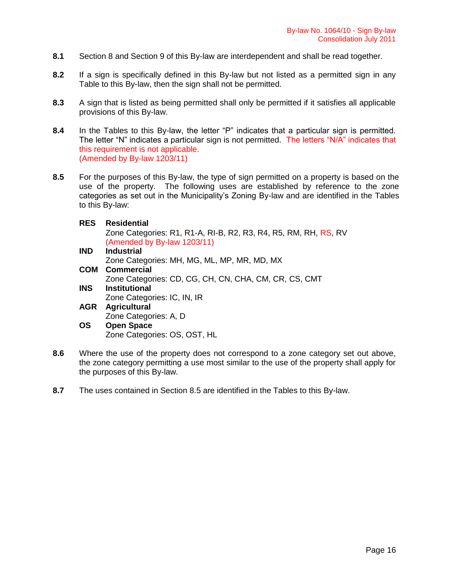- **8.1** Section 8 and Section 9 of this By-law are interdependent and shall be read together.
- **8.2** If a sign is specifically defined in this By-law but not listed as a permitted sign in any Table to this By-law, then the sign shall not be permitted.
- **8.3** A sign that is listed as being permitted shall only be permitted if it satisfies all applicable provisions of this By-law.
- 8.4 In the Tables to this By-law, the letter "P" indicates that a particular sign is permitted. The letter "N" indicates a particular sign is not permitted. The letters "N/A" indicates that this requirement is not applicable. (Amended by By-law 1203/11)
- **8.5** For the purposes of this By-law, the type of sign permitted on a property is based on the use of the property. The following uses are established by reference to the zone categories as set out in the Municipality's Zoning By-law and are identified in the Tables to this By-law:

#### **RES Residential**

Zone Categories: R1, R1-A, RI-B, R2, R3, R4, R5, RM, RH, RS, RV (Amended by By-law 1203/11)

- **IND Industrial** Zone Categories: MH, MG, ML, MP, MR, MD, MX **COM Commercial** Zone Categories: CD, CG, CH, CN, CHA, CM, CR, CS, CMT **INS Institutional**  Zone Categories: IC, IN, IR **AGR Agricultural**
- Zone Categories: A, D **OS Open Space** Zone Categories: OS, OST, HL
- **8.6** Where the use of the property does not correspond to a zone category set out above, the zone category permitting a use most similar to the use of the property shall apply for the purposes of this By-law.
- **8.7** The uses contained in Section 8.5 are identified in the Tables to this By-law.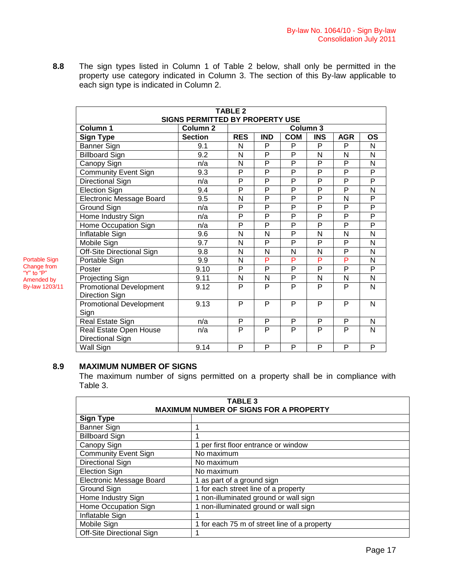**8.8** The sign types listed in Column 1 of Table 2 below, shall only be permitted in the property use category indicated in Column 3. The section of this By-law applicable to each sign type is indicated in Column 2.

| <b>TABLE 2</b><br><b>SIGNS PERMITTED BY PROPERTY USE</b> |                                 |            |                |                |                |                |                |
|----------------------------------------------------------|---------------------------------|------------|----------------|----------------|----------------|----------------|----------------|
| Column 1                                                 | Column 3<br>Column <sub>2</sub> |            |                |                |                |                |                |
| <b>Sign Type</b>                                         | <b>Section</b>                  | <b>RES</b> | <b>IND</b>     | <b>COM</b>     | <b>INS</b>     | <b>AGR</b>     | <b>OS</b>      |
| Banner Sign                                              | 9.1                             | N          | P              | P              | P              | P              | N              |
| <b>Billboard Sign</b>                                    | 9.2                             | N          | P              | P              | N              | N              | N              |
| Canopy Sign                                              | n/a                             | N          | P              | P              | $\overline{P}$ | $\overline{P}$ | N              |
| <b>Community Event Sign</b>                              | 9.3                             | P          | P              | P              | $\overline{P}$ | P              | P              |
| <b>Directional Sign</b>                                  | n/a                             | P          | P              | P              | P              | $\overline{P}$ | P              |
| Election Sign                                            | 9.4                             | P          | P              | P              | $\overline{P}$ | $\overline{P}$ | N              |
| Electronic Message Board                                 | 9.5                             | N          | P              | $\overline{P}$ | $\overline{P}$ | N              | P              |
| Ground Sign                                              | n/a                             | P          | P              | P              | $\overline{P}$ | $\overline{P}$ | $\overline{P}$ |
| Home Industry Sign                                       | n/a                             | P          | P              | P              | $\overline{P}$ | $\overline{P}$ | P              |
| Home Occupation Sign                                     | n/a                             | P          | $\overline{P}$ | $\overline{P}$ | $\overline{P}$ | $\overline{P}$ | $\overline{P}$ |
| Inflatable Sign                                          | 9.6                             | N          | N              | P              | N              | N              | N              |
| Mobile Sign                                              | 9.7                             | N          | P              | P              | P              | P              | N              |
| Off-Site Directional Sign                                | 9.8                             | N          | N              | N              | N              | $\overline{P}$ | N              |
| Portable Sign                                            | 9.9                             | N          | P              | P              | P              | P              | N              |
| Poster                                                   | 9.10                            | P          | P              | P              | P              | P              | P              |
| Projecting Sign                                          | 9.11                            | N          | N              | P              | N              | N              | N              |
| <b>Promotional Development</b>                           | 9.12                            | P          | P              | P              | P              | P              | N              |
| <b>Direction Sign</b>                                    |                                 |            |                |                |                |                |                |
| <b>Promotional Development</b>                           | 9.13                            | P          | P              | P              | P              | P              | N              |
| Sign                                                     |                                 |            |                |                |                |                |                |
| Real Estate Sign                                         | n/a                             | P          | P              | P              | P              | P              | N              |
| Real Estate Open House                                   | n/a                             | P          | P              | $\overline{P}$ | P              | P              | N              |
| Directional Sign                                         |                                 |            |                |                |                |                |                |
| Wall Sign                                                | 9.14                            | P          | $\overline{P}$ | $\overline{P}$ | P              | P              | $\overline{P}$ |

# **8.9 MAXIMUM NUMBER OF SIGNS**

Portable Sign Change from "Y" to "P" Amended by By-law 1203/11

> The maximum number of signs permitted on a property shall be in compliance with Table 3.

| <b>TABLE 3</b><br><b>MAXIMUM NUMBER OF SIGNS FOR A PROPERTY</b> |                                              |  |  |  |
|-----------------------------------------------------------------|----------------------------------------------|--|--|--|
| <b>Sign Type</b>                                                |                                              |  |  |  |
| Banner Sign                                                     |                                              |  |  |  |
| <b>Billboard Sign</b>                                           |                                              |  |  |  |
| Canopy Sign                                                     | per first floor entrance or window           |  |  |  |
| <b>Community Event Sign</b>                                     | No maximum                                   |  |  |  |
| <b>Directional Sign</b>                                         | No maximum                                   |  |  |  |
| <b>Election Sign</b>                                            | No maximum                                   |  |  |  |
| Electronic Message Board                                        | 1 as part of a ground sign                   |  |  |  |
| Ground Sign                                                     | 1 for each street line of a property         |  |  |  |
| Home Industry Sign                                              | 1 non-illuminated ground or wall sign        |  |  |  |
| Home Occupation Sign                                            | 1 non-illuminated ground or wall sign        |  |  |  |
| Inflatable Sign                                                 |                                              |  |  |  |
| Mobile Sign                                                     | 1 for each 75 m of street line of a property |  |  |  |
| Off-Site Directional Sign                                       |                                              |  |  |  |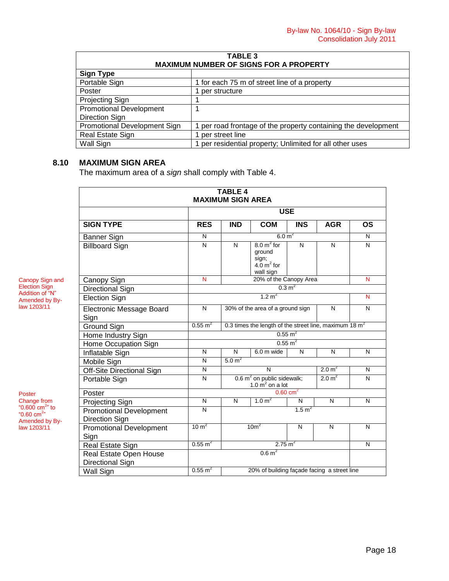| <b>TABLE 3</b>                 |                                                              |  |  |  |
|--------------------------------|--------------------------------------------------------------|--|--|--|
|                                | <b>MAXIMUM NUMBER OF SIGNS FOR A PROPERTY</b>                |  |  |  |
| <b>Sign Type</b>               |                                                              |  |  |  |
| Portable Sign                  | 1 for each 75 m of street line of a property                 |  |  |  |
| Poster                         | per structure                                                |  |  |  |
| Projecting Sign                |                                                              |  |  |  |
| <b>Promotional Development</b> |                                                              |  |  |  |
| <b>Direction Sign</b>          |                                                              |  |  |  |
| Promotional Development Sign   | per road frontage of the property containing the development |  |  |  |
| Real Estate Sign               | per street line                                              |  |  |  |
| Wall Sign                      | per residential property; Unlimited for all other uses       |  |  |  |

# **8.10 MAXIMUM SIGN AREA**

The maximum area of a *sign* shall comply with Table 4.

|                                                  |                         | <b>TABLE 4</b><br><b>MAXIMUM SIGN AREA</b> |                                                                                |                        |                    |              |
|--------------------------------------------------|-------------------------|--------------------------------------------|--------------------------------------------------------------------------------|------------------------|--------------------|--------------|
|                                                  |                         |                                            |                                                                                | <b>USE</b>             |                    |              |
| <b>SIGN TYPE</b>                                 | <b>RES</b>              | <b>IND</b>                                 | <b>COM</b>                                                                     | <b>INS</b>             | <b>AGR</b>         | <b>OS</b>    |
| <b>Banner Sign</b>                               | N                       |                                            | 6.0 m <sup>2</sup>                                                             |                        |                    | N            |
| <b>Billboard Sign</b>                            | $\overline{\mathsf{N}}$ | N                                          | $8.0 \text{ m}^2$ for<br>ground<br>sign;<br>$4.0 \text{ m}^2$ for<br>wall sign | N                      | N                  | N            |
| Canopy Sign                                      | N                       |                                            | 20% of the Canopy Area                                                         |                        |                    | N            |
| Directional Sign                                 |                         |                                            |                                                                                | $0.3 \text{ m}^2$      |                    |              |
| <b>Election Sign</b>                             |                         |                                            | 1.2 $m^2$                                                                      |                        |                    | N            |
| <b>Electronic Message Board</b><br>Sign          | N                       |                                            | 30% of the area of a ground sign                                               |                        | N                  | N            |
| <b>Ground Sign</b>                               | $0.55 \text{ m}^2$      |                                            | 0.3 times the length of the street line, maximum 18 $m2$                       |                        |                    |              |
| Home Industry Sign                               |                         |                                            |                                                                                | $0.55 \text{ m}^2$     |                    |              |
| Home Occupation Sign                             |                         |                                            |                                                                                | $0.55 \text{ m}^2$     |                    |              |
| Inflatable Sign                                  | $\overline{\mathsf{N}}$ | $\overline{N}$                             | $6.0m$ wide                                                                    | N                      | N                  | $\mathsf{N}$ |
| Mobile Sign                                      | $\overline{\mathsf{N}}$ | 5.0 m <sup>2</sup>                         |                                                                                |                        |                    |              |
| <b>Off-Site Directional Sign</b>                 | N                       |                                            | $\overline{\mathsf{N}}$                                                        |                        | 2.0 m <sup>2</sup> | N            |
| Portable Sign                                    | N                       |                                            | 0.6 $m^2$ on public sidewalk;<br>1.0 $\sin^2$ on a lot                         |                        | 2.0 m <sup>2</sup> | N            |
| Poster                                           |                         |                                            |                                                                                | $0.60$ cm <sup>2</sup> |                    |              |
| Projecting Sign                                  | N                       | N                                          | 1.0 m <sup>2</sup>                                                             | N                      | N                  | N            |
| <b>Promotional Development</b><br>Direction Sign | $\overline{\mathsf{N}}$ | 1.5 m <sup>2</sup>                         |                                                                                |                        |                    |              |
| <b>Promotional Development</b><br>Sign           | 10 m <sup>2</sup>       |                                            | 10m <sup>2</sup>                                                               | N                      | N                  | N            |
| Real Estate Sign                                 | $0.55 \text{ m}^2$      |                                            | $2.75 \text{ m}^2$                                                             |                        |                    | N            |
| Real Estate Open House<br>Directional Sign       |                         |                                            | 0.6 m <sup>2</sup>                                                             |                        |                    |              |
| <b>Wall Sign</b>                                 | $0.55 \text{ m}^2$      |                                            | 20% of building façade facing a street line                                    |                        |                    |              |

Canopy Sign and Election Sign Addition of "N" Amended by Bylaw 1203/11

Poster Change from "0.600 cm<sup>2</sup>" to<br>"0.60 cm<sup>2</sup>" Amended by Bylaw 1203/11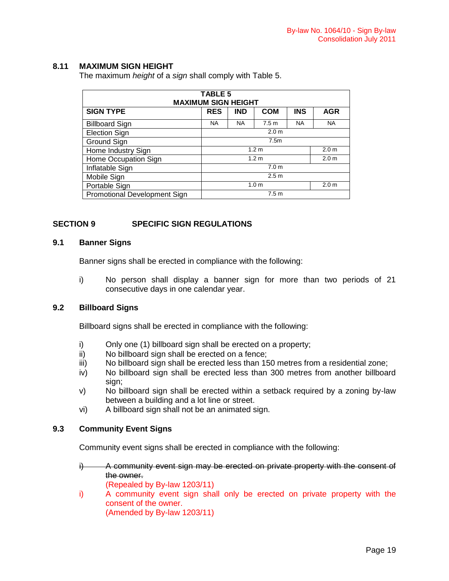# **8.11 MAXIMUM SIGN HEIGHT**

The maximum *height* of a *sign* shall comply with Table 5.

| <b>TABLE 5</b><br><b>MAXIMUM SIGN HEIGHT</b>            |                                      |            |                  |            |                  |
|---------------------------------------------------------|--------------------------------------|------------|------------------|------------|------------------|
| <b>SIGN TYPE</b>                                        | <b>RES</b>                           | <b>IND</b> | <b>COM</b>       | <b>INS</b> | <b>AGR</b>       |
| <b>Billboard Sign</b>                                   | <b>NA</b>                            | <b>NA</b>  | 7.5 <sub>m</sub> | <b>NA</b>  | <b>NA</b>        |
| <b>Election Sign</b>                                    | 2.0 <sub>m</sub>                     |            |                  |            |                  |
| Ground Sign                                             | 7.5m                                 |            |                  |            |                  |
| Home Industry Sign                                      | 2.0 <sub>m</sub><br>1.2 <sub>m</sub> |            |                  |            |                  |
| Home Occupation Sign                                    | 1.2 <sub>m</sub><br>2.0 <sub>m</sub> |            |                  |            |                  |
| Inflatable Sign                                         | 7.0 <sub>m</sub>                     |            |                  |            |                  |
| Mobile Sign                                             | 2.5 <sub>m</sub>                     |            |                  |            |                  |
| Portable Sign                                           |                                      |            | 1.0 <sub>m</sub> |            | 2.0 <sub>m</sub> |
| 7.5 <sub>m</sub><br><b>Promotional Development Sign</b> |                                      |            |                  |            |                  |

# **SECTION 9 SPECIFIC SIGN REGULATIONS**

# **9.1 Banner Signs**

Banner signs shall be erected in compliance with the following:

i) No person shall display a banner sign for more than two periods of 21 consecutive days in one calendar year.

# **9.2 Billboard Signs**

Billboard signs shall be erected in compliance with the following:

- i) Only one (1) billboard sign shall be erected on a property;
- ii) No billboard sign shall be erected on a fence;
- iii) No billboard sign shall be erected less than 150 metres from a residential zone;
- iv) No billboard sign shall be erected less than 300 metres from another billboard sign:
- v) No billboard sign shall be erected within a setback required by a zoning by-law between a building and a lot line or street.
- vi) A billboard sign shall not be an animated sign.

# **9.3 Community Event Signs**

Community event signs shall be erected in compliance with the following:

- i) A community event sign may be erected on private property with the consent of the owner.
	- (Repealed by By-law 1203/11)
- i) A community event sign shall only be erected on private property with the consent of the owner.

(Amended by By-law 1203/11)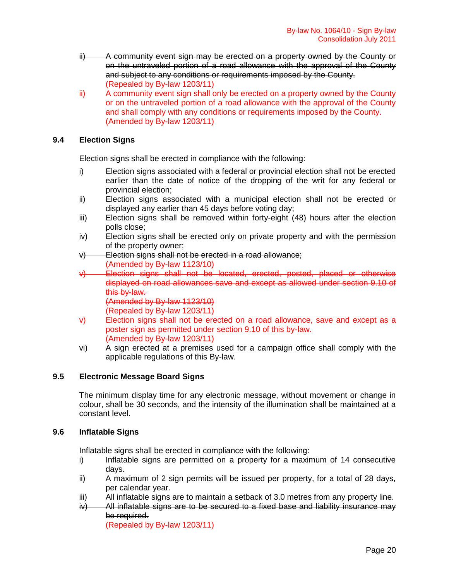- ii) A community event sign may be erected on a property owned by the County or on the untraveled portion of a road allowance with the approval of the County and subject to any conditions or requirements imposed by the County. (Repealed by By-law 1203/11)
- ii) A community event sign shall only be erected on a property owned by the County or on the untraveled portion of a road allowance with the approval of the County and shall comply with any conditions or requirements imposed by the County. (Amended by By-law 1203/11)

# **9.4 Election Signs**

Election signs shall be erected in compliance with the following:

- i) Election signs associated with a federal or provincial election shall not be erected earlier than the date of notice of the dropping of the writ for any federal or provincial election;
- ii) Election signs associated with a municipal election shall not be erected or displayed any earlier than 45 days before voting day;
- iii) Election signs shall be removed within forty-eight (48) hours after the election polls close;
- iv) Election signs shall be erected only on private property and with the permission of the property owner;
- v) Election signs shall not be erected in a road allowance; (Amended by By-law 1123/10)
- v) Election signs shall not be located, erected, posted, placed or otherwise displayed on road allowances save and except as allowed under section 9.10 of this by-law.
	- (Amended by By-law 1123/10)
	- (Repealed by By-law 1203/11)
- v) Election signs shall not be erected on a road allowance, save and except as a poster sign as permitted under section 9.10 of this by-law. (Amended by By-law 1203/11)
- vi) A sign erected at a premises used for a campaign office shall comply with the applicable regulations of this By-law.

# **9.5 Electronic Message Board Signs**

The minimum display time for any electronic message, without movement or change in colour, shall be 30 seconds, and the intensity of the illumination shall be maintained at a constant level.

# **9.6 Inflatable Signs**

Inflatable signs shall be erected in compliance with the following:

- i) Inflatable signs are permitted on a property for a maximum of 14 consecutive days.
- ii) A maximum of 2 sign permits will be issued per property, for a total of 28 days, per calendar year.
- iii) All inflatable signs are to maintain a setback of 3.0 metres from any property line.
- $iv)$  All inflatable signs are to be secured to a fixed base and liability insurance may be required.

(Repealed by By-law 1203/11)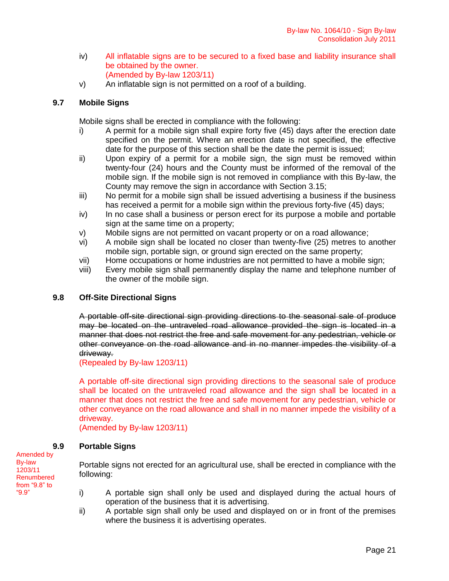- iv) All inflatable signs are to be secured to a fixed base and liability insurance shall be obtained by the owner. (Amended by By-law 1203/11)
- v) An inflatable sign is not permitted on a roof of a building.

# **9.7 Mobile Signs**

Mobile signs shall be erected in compliance with the following:

- i) A permit for a mobile sign shall expire forty five (45) days after the erection date specified on the permit. Where an erection date is not specified, the effective date for the purpose of this section shall be the date the permit is issued;
- ii) Upon expiry of a permit for a mobile sign, the sign must be removed within twenty-four (24) hours and the County must be informed of the removal of the mobile sign. If the mobile sign is not removed in compliance with this By-law, the County may remove the sign in accordance with Section 3.15;
- iii) No permit for a mobile sign shall be issued advertising a business if the business has received a permit for a mobile sign within the previous forty-five (45) days;
- iv) In no case shall a business or person erect for its purpose a mobile and portable sign at the same time on a property;
- v) Mobile signs are not permitted on vacant property or on a road allowance;
- vi) A mobile sign shall be located no closer than twenty-five (25) metres to another mobile sign, portable sign, or ground sign erected on the same property;
- vii) Home occupations or home industries are not permitted to have a mobile sign;
- viii) Every mobile sign shall permanently display the name and telephone number of the owner of the mobile sign.

# **9.8 Off-Site Directional Signs**

A portable off-site directional sign providing directions to the seasonal sale of produce may be located on the untraveled road allowance provided the sign is located in a manner that does not restrict the free and safe movement for any pedestrian, vehicle or other conveyance on the road allowance and in no manner impedes the visibility of a driveway.

(Repealed by By-law 1203/11)

A portable off-site directional sign providing directions to the seasonal sale of produce shall be located on the untraveled road allowance and the sign shall be located in a manner that does not restrict the free and safe movement for any pedestrian, vehicle or other conveyance on the road allowance and shall in no manner impede the visibility of a driveway.

(Amended by By-law 1203/11)

# **9.9 Portable Signs**

Portable signs not erected for an agricultural use, shall be erected in compliance with the following:

- i) A portable sign shall only be used and displayed during the actual hours of operation of the business that it is advertising.
- ii) A portable sign shall only be used and displayed on or in front of the premises where the business it is advertising operates.

Amended by By-law 1203/11 Renumbered from "9.8" to "9.9"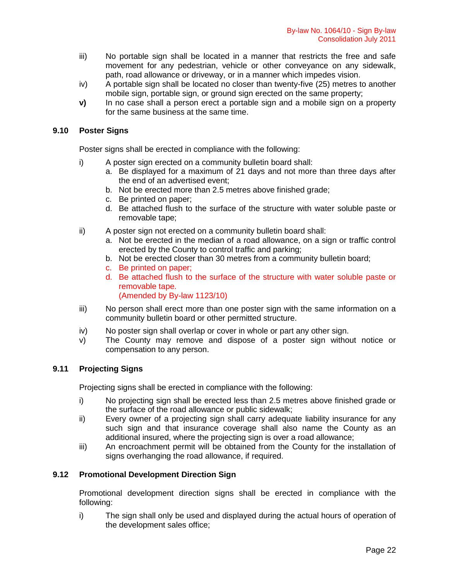- iii) No portable sign shall be located in a manner that restricts the free and safe movement for any pedestrian, vehicle or other conveyance on any sidewalk, path, road allowance or driveway, or in a manner which impedes vision.
- iv) A portable sign shall be located no closer than twenty-five (25) metres to another mobile sign, portable sign, or ground sign erected on the same property;
- **v)** In no case shall a person erect a portable sign and a mobile sign on a property for the same business at the same time.

# **9.10 Poster Signs**

Poster signs shall be erected in compliance with the following:

- i) A poster sign erected on a community bulletin board shall:
	- a. Be displayed for a maximum of 21 days and not more than three days after the end of an advertised event;
	- b. Not be erected more than 2.5 metres above finished grade;
	- c. Be printed on paper;
	- d. Be attached flush to the surface of the structure with water soluble paste or removable tape;
- ii) A poster sign not erected on a community bulletin board shall:
	- a. Not be erected in the median of a road allowance, on a sign or traffic control erected by the County to control traffic and parking;
	- b. Not be erected closer than 30 metres from a community bulletin board;
	- c. Be printed on paper;
	- d. Be attached flush to the surface of the structure with water soluble paste or removable tape.

(Amended by By-law 1123/10)

- iii) No person shall erect more than one poster sign with the same information on a community bulletin board or other permitted structure.
- iv) No poster sign shall overlap or cover in whole or part any other sign.
- v) The County may remove and dispose of a poster sign without notice or compensation to any person.

# **9.11 Projecting Signs**

Projecting signs shall be erected in compliance with the following:

- i) No projecting sign shall be erected less than 2.5 metres above finished grade or the surface of the road allowance or public sidewalk;
- ii) Every owner of a projecting sign shall carry adequate liability insurance for any such sign and that insurance coverage shall also name the County as an additional insured, where the projecting sign is over a road allowance;
- iii) An encroachment permit will be obtained from the County for the installation of signs overhanging the road allowance, if required.

# **9.12 Promotional Development Direction Sign**

Promotional development direction signs shall be erected in compliance with the following:

i) The sign shall only be used and displayed during the actual hours of operation of the development sales office;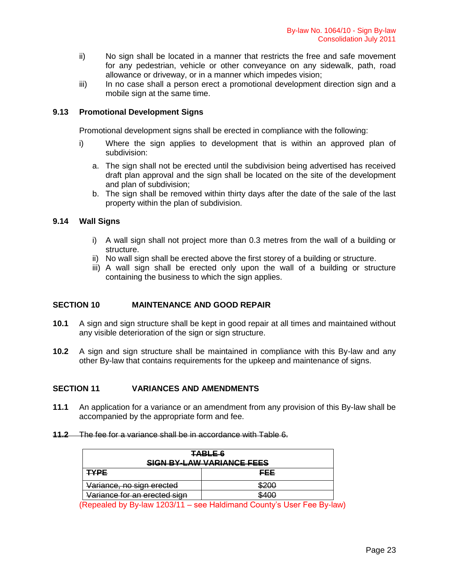- ii) No sign shall be located in a manner that restricts the free and safe movement for any pedestrian, vehicle or other conveyance on any sidewalk, path, road allowance or driveway, or in a manner which impedes vision;
- iii) In no case shall a person erect a promotional development direction sign and a mobile sign at the same time.

# **9.13 Promotional Development Signs**

Promotional development signs shall be erected in compliance with the following:

- i) Where the sign applies to development that is within an approved plan of subdivision:
	- a. The sign shall not be erected until the subdivision being advertised has received draft plan approval and the sign shall be located on the site of the development and plan of subdivision;
	- b. The sign shall be removed within thirty days after the date of the sale of the last property within the plan of subdivision.

# **9.14 Wall Signs**

- i) A wall sign shall not project more than 0.3 metres from the wall of a building or structure.
- ii) No wall sign shall be erected above the first storey of a building or structure.
- iii) A wall sign shall be erected only upon the wall of a building or structure containing the business to which the sign applies.

# **SECTION 10 MAINTENANCE AND GOOD REPAIR**

- **10.1** A sign and sign structure shall be kept in good repair at all times and maintained without any visible deterioration of the sign or sign structure.
- **10.2** A sign and sign structure shall be maintained in compliance with this By-law and any other By-law that contains requirements for the upkeep and maintenance of signs.

# **SECTION 11 VARIANCES AND AMENDMENTS**

- **11.1** An application for a variance or an amendment from any provision of this By-law shall be accompanied by the appropriate form and fee.
- **11.2** The fee for a variance shall be in accordance with Table 6.

| <b>TABLE 6</b><br><b>SIGN BY-LAW VARIANCE FEES</b>                     |                 |  |  |
|------------------------------------------------------------------------|-----------------|--|--|
| <u>TYPE</u>                                                            | FEE             |  |  |
| Variance, no sign erected                                              | ৩∠∪∪            |  |  |
| Variance for an erected sign<br><del>vanance for an erecteu sign</del> | <del>0100</del> |  |  |

(Repealed by By-law 1203/11 – see Haldimand County's User Fee By-law)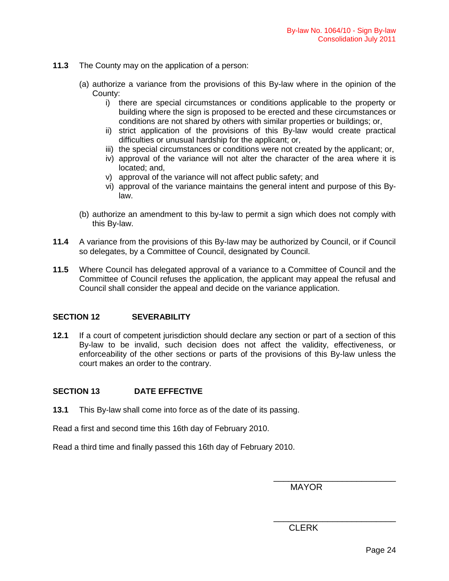- **11.3** The County may on the application of a person:
	- (a) authorize a variance from the provisions of this By-law where in the opinion of the County:
		- i) there are special circumstances or conditions applicable to the property or building where the sign is proposed to be erected and these circumstances or conditions are not shared by others with similar properties or buildings; or,
		- ii) strict application of the provisions of this By-law would create practical difficulties or unusual hardship for the applicant; or,
		- iii) the special circumstances or conditions were not created by the applicant; or,
		- iv) approval of the variance will not alter the character of the area where it is located; and,
		- v) approval of the variance will not affect public safety; and
		- vi) approval of the variance maintains the general intent and purpose of this Bylaw.
	- (b) authorize an amendment to this by-law to permit a sign which does not comply with this By-law.
- **11.4** A variance from the provisions of this By-law may be authorized by Council, or if Council so delegates, by a Committee of Council, designated by Council.
- **11.5** Where Council has delegated approval of a variance to a Committee of Council and the Committee of Council refuses the application, the applicant may appeal the refusal and Council shall consider the appeal and decide on the variance application.

# **SECTION 12 SEVERABILITY**

**12.1** If a court of competent jurisdiction should declare any section or part of a section of this By-law to be invalid, such decision does not affect the validity, effectiveness, or enforceability of the other sections or parts of the provisions of this By-law unless the court makes an order to the contrary.

# **SECTION 13 DATE EFFECTIVE**

**13.1** This By-law shall come into force as of the date of its passing.

Read a first and second time this 16th day of February 2010.

Read a third time and finally passed this 16th day of February 2010.

MAYOR

\_\_\_\_\_\_\_\_\_\_\_\_\_\_\_\_\_\_\_\_\_\_\_\_\_

\_\_\_\_\_\_\_\_\_\_\_\_\_\_\_\_\_\_\_\_\_\_\_\_\_

**CLERK**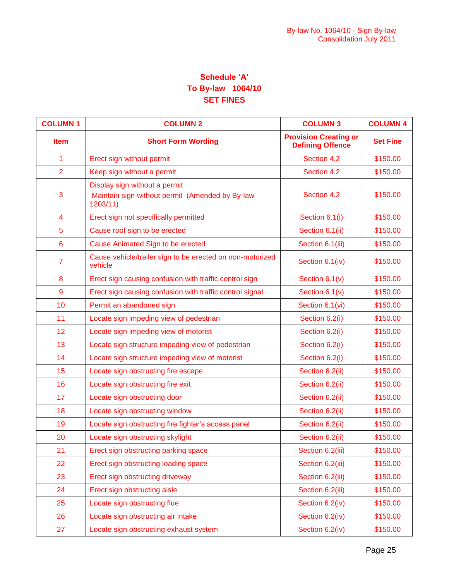# **Schedule "A" To By-law 1064/10 SET FINES**

| <b>COLUMN1</b>  | <b>COLUMN 2</b>                                                                                    | <b>COLUMN 3</b>                                         | <b>COLUMN 4</b> |
|-----------------|----------------------------------------------------------------------------------------------------|---------------------------------------------------------|-----------------|
| <b>Item</b>     | <b>Short Form Wording</b>                                                                          | <b>Provision Creating or</b><br><b>Defining Offence</b> | <b>Set Fine</b> |
| 1               | Erect sign without permit                                                                          | Section 4.2                                             | \$150.00        |
| $\overline{2}$  | Keep sign without a permit                                                                         | Section 4.2                                             | \$150.00        |
| 3               | <b>Display sign without a permit</b><br>Maintain sign without permit (Amended by By-law<br>1203/11 | Section 4.2                                             | \$150.00        |
| $\overline{4}$  | Erect sign not specifically permitted                                                              | Section 6.1(i)                                          | \$150.00        |
| 5               | Cause roof sign to be erected                                                                      | Section 6.1(ii)                                         | \$150.00        |
| $6\phantom{1}6$ | Cause Animated Sign to be erected                                                                  | Section 6.1(iii)                                        | \$150.00        |
| $\overline{7}$  | Cause vehicle/trailer sign to be erected on non-motorized<br>vehicle                               | Section 6.1(iv)                                         | \$150.00        |
| 8               | Erect sign causing confusion with traffic control sign                                             | Section 6.1(v)                                          | \$150.00        |
| $\overline{9}$  | Erect sign causing confusion with traffic control signal                                           | Section $6.1(v)$                                        | \$150.00        |
| 10              | Permit an abandoned sign                                                                           | Section 6.1(vi)                                         | \$150.00        |
| 11              | Locate sign impeding view of pedestrian                                                            | Section 6.2(i)                                          | \$150.00        |
| 12              | Locate sign impeding view of motorist                                                              | Section 6.2(i)                                          | \$150.00        |
| 13              | Locate sign structure impeding view of pedestrian                                                  | Section 6.2(i)                                          | \$150.00        |
| 14              | Locate sign structure impeding view of motorist                                                    | Section 6.2(i)                                          | \$150.00        |
| 15              | Locate sign obstructing fire escape                                                                | Section 6.2(ii)                                         | \$150.00        |
| 16              | Locate sign obstructing fire exit                                                                  | Section 6.2(ii)                                         | \$150.00        |
| 17              | Locate sign obstructing door                                                                       | Section 6.2(ii)                                         | \$150.00        |
| 18              | Locate sign obstructing window                                                                     | Section 6.2(ii)                                         | \$150.00        |
| 19              | Locate sign obstructing fire fighter's access panel                                                | Section 6.2(ii)                                         | \$150.00        |
| 20              | Locate sign obstructing skylight                                                                   | Section 6.2(ii)                                         | \$150.00        |
| 21              | Erect sign obstructing parking space                                                               | Section 6.2(iii)                                        | \$150.00        |
| 22              | Erect sign obstructing loading space                                                               | Section 6.2(iii)                                        | \$150.00        |
| 23              | Erect sign obstructing driveway                                                                    | Section 6.2(iii)                                        | \$150.00        |
| 24              | Erect sign obstructing aisle                                                                       | Section 6.2(iii)                                        | \$150.00        |
| 25              | Locate sign obstructing flue                                                                       | Section 6.2(iv)                                         | \$150.00        |
| 26              | Locate sign obstructing air intake                                                                 | Section 6.2(iv)                                         | \$150.00        |
| 27              | Locate sign obstructing exhaust system                                                             | Section 6.2(iv)                                         | \$150.00        |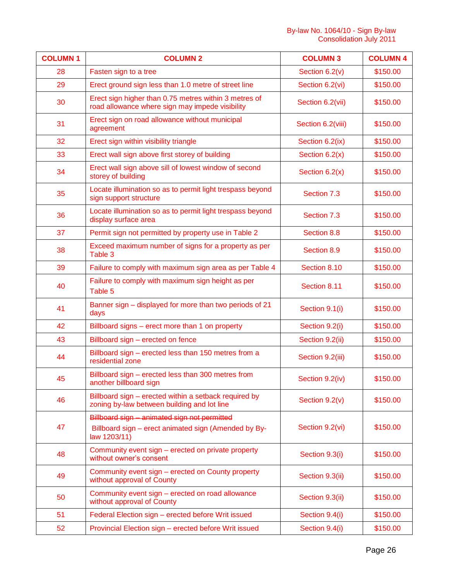| <b>COLUMN1</b> | <b>COLUMN 2</b>                                                                                                      | <b>COLUMN 3</b>   | <b>COLUMN 4</b> |
|----------------|----------------------------------------------------------------------------------------------------------------------|-------------------|-----------------|
| 28             | Fasten sign to a tree                                                                                                | Section $6.2(v)$  | \$150.00        |
| 29             | Erect ground sign less than 1.0 metre of street line                                                                 | Section 6.2(vi)   | \$150.00        |
| 30             | Erect sign higher than 0.75 metres within 3 metres of<br>road allowance where sign may impede visibility             | Section 6.2(vii)  | \$150.00        |
| 31             | Erect sign on road allowance without municipal<br>agreement                                                          | Section 6.2(viii) | \$150.00        |
| 32             | Erect sign within visibility triangle                                                                                | Section 6.2(ix)   | \$150.00        |
| 33             | Erect wall sign above first storey of building                                                                       | Section $6.2(x)$  | \$150.00        |
| 34             | Erect wall sign above sill of lowest window of second<br>storey of building                                          | Section $6.2(x)$  | \$150.00        |
| 35             | Locate illumination so as to permit light trespass beyond<br>sign support structure                                  | Section 7.3       | \$150.00        |
| 36             | Locate illumination so as to permit light trespass beyond<br>display surface area                                    | Section 7.3       | \$150.00        |
| 37             | Permit sign not permitted by property use in Table 2                                                                 | Section 8.8       | \$150.00        |
| 38             | Exceed maximum number of signs for a property as per<br>Table 3                                                      | Section 8.9       | \$150.00        |
| 39             | Failure to comply with maximum sign area as per Table 4                                                              | Section 8.10      | \$150.00        |
| 40             | Failure to comply with maximum sign height as per<br>Table 5                                                         | Section 8.11      | \$150.00        |
| 41             | Banner sign - displayed for more than two periods of 21<br>days                                                      | Section 9.1(i)    | \$150.00        |
| 42             | Billboard signs – erect more than 1 on property                                                                      | Section 9.2(i)    | \$150.00        |
| 43             | Billboard sign - erected on fence                                                                                    | Section 9.2(ii)   | \$150.00        |
| 44             | Billboard sign - erected less than 150 metres from a<br>residential zone                                             | Section 9.2(iii)  | \$150.00        |
| 45             | Billboard sign – erected less than 300 metres from<br>another billboard sign                                         | Section 9.2(iv)   | \$150.00        |
| 46             | Billboard sign – erected within a setback required by<br>zoning by-law between building and lot line                 | Section 9.2(v)    | \$150.00        |
| 47             | Billboard sign - animated sign not permitted<br>Billboard sign - erect animated sign (Amended by By-<br>law 1203/11) | Section 9.2(vi)   | \$150.00        |
| 48             | Community event sign – erected on private property<br>without owner's consent                                        | Section 9.3(i)    | \$150.00        |
| 49             | Community event sign - erected on County property<br>without approval of County                                      | Section 9.3(ii)   | \$150.00        |
| 50             | Community event sign - erected on road allowance<br>without approval of County                                       | Section 9.3(ii)   | \$150.00        |
| 51             | Federal Election sign - erected before Writ issued                                                                   | Section 9.4(i)    | \$150.00        |
| 52             | Provincial Election sign - erected before Writ issued                                                                | Section 9.4(i)    | \$150.00        |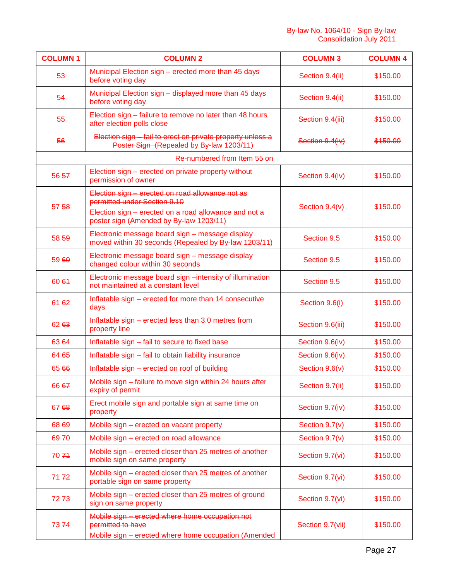| <b>COLUMN1</b> | <b>COLUMN 2</b>                                                                                                                                                                      | <b>COLUMN 3</b>  | <b>COLUMN 4</b> |
|----------------|--------------------------------------------------------------------------------------------------------------------------------------------------------------------------------------|------------------|-----------------|
| 53             | Municipal Election sign – erected more than 45 days<br>before voting day                                                                                                             | Section 9.4(ii)  | \$150.00        |
| 54             | Municipal Election sign - displayed more than 45 days<br>before voting day                                                                                                           | Section 9.4(ii)  | \$150.00        |
| 55             | Election sign – failure to remove no later than 48 hours<br>after election polls close                                                                                               | Section 9.4(iii) | \$150.00        |
| 56             | Election sign - fail to erect on private property unless a<br>Poster Sign-(Repealed by By-law 1203/11)                                                                               | Section 9.4(iv)  | \$150.00        |
|                | Re-numbered from Item 55 on                                                                                                                                                          |                  |                 |
| 56 57          | Election sign - erected on private property without<br>permission of owner                                                                                                           | Section 9.4(iv)  | \$150.00        |
| 57 58          | Election sign - erected on road allowance not as<br>permitted under Section 9.10<br>Election sign - erected on a road allowance and not a<br>poster sign (Amended by By-law 1203/11) | Section 9.4(v)   | \$150.00        |
| 58 59          | Electronic message board sign - message display<br>moved within 30 seconds (Repealed by By-law 1203/11)                                                                              | Section 9.5      | \$150.00        |
| 59 60          | Electronic message board sign - message display<br>changed colour within 30 seconds                                                                                                  | Section 9.5      | \$150.00        |
| 60 64          | Electronic message board sign -intensity of illumination<br>not maintained at a constant level                                                                                       | Section 9.5      | \$150.00        |
| 61 62          | Inflatable sign – erected for more than 14 consecutive<br>days                                                                                                                       | Section 9.6(i)   | \$150.00        |
| 62 63          | Inflatable sign - erected less than 3.0 metres from<br>property line                                                                                                                 | Section 9.6(iii) | \$150.00        |
| 63 64          | Inflatable sign - fail to secure to fixed base                                                                                                                                       | Section 9.6(iv)  | \$150.00        |
| 64 65          | Inflatable sign - fail to obtain liability insurance                                                                                                                                 | Section 9.6(iv)  | \$150.00        |
| 65 66          | Inflatable sign - erected on roof of building                                                                                                                                        | Section 9.6(v)   | \$150.00        |
| 66 67          | Mobile sign - failure to move sign within 24 hours after<br>expiry of permit                                                                                                         | Section 9.7(ii)  | \$150.00        |
| 67 68          | Erect mobile sign and portable sign at same time on<br>property                                                                                                                      | Section 9.7(iv)  | \$150.00        |
| 68 69          | Mobile sign - erected on vacant property                                                                                                                                             | Section 9.7(v)   | \$150.00        |
| 6970           | Mobile sign - erected on road allowance                                                                                                                                              | Section $9.7(v)$ | \$150.00        |
| 7074           | Mobile sign – erected closer than 25 metres of another<br>mobile sign on same property                                                                                               | Section 9.7(vi)  | \$150.00        |
| 7172           | Mobile sign – erected closer than 25 metres of another<br>portable sign on same property                                                                                             | Section 9.7(vi)  | \$150.00        |
| 7273           | Mobile sign - erected closer than 25 metres of ground<br>sign on same property                                                                                                       | Section 9.7(vi)  | \$150.00        |
| 7374           | Mobile sign - erected where home occupation not<br>permitted to have<br>Mobile sign - erected where home occupation (Amended                                                         | Section 9.7(vii) | \$150.00        |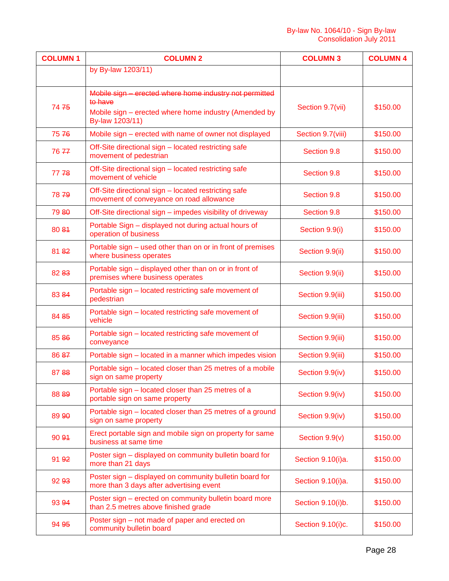| <b>COLUMN1</b> | <b>COLUMN 2</b>                                                                                                                                | <b>COLUMN 3</b>   | <b>COLUMN 4</b> |
|----------------|------------------------------------------------------------------------------------------------------------------------------------------------|-------------------|-----------------|
|                | by By-law 1203/11)                                                                                                                             |                   |                 |
| 7475           | Mobile sign - erected where home industry not permitted<br>to have<br>Mobile sign – erected where home industry (Amended by<br>By-law 1203/11) | Section 9.7(vii)  | \$150.00        |
| 7576           | Mobile sign – erected with name of owner not displayed                                                                                         | Section 9.7(viii) | \$150.00        |
| 7677           | Off-Site directional sign - located restricting safe<br>movement of pedestrian                                                                 | Section 9.8       | \$150.00        |
| 77748          | Off-Site directional sign - located restricting safe<br>movement of vehicle                                                                    | Section 9.8       | \$150.00        |
| 7879           | Off-Site directional sign - located restricting safe<br>movement of conveyance on road allowance                                               | Section 9.8       | \$150.00        |
| 79 80          | Off-Site directional sign – impedes visibility of driveway                                                                                     | Section 9.8       | \$150.00        |
| 80 84          | Portable Sign - displayed not during actual hours of<br>operation of business                                                                  | Section 9.9(i)    | \$150.00        |
| 8182           | Portable sign – used other than on or in front of premises<br>where business operates                                                          | Section 9.9(ii)   | \$150.00        |
| 82 83          | Portable sign - displayed other than on or in front of<br>premises where business operates                                                     | Section 9.9(ii)   | \$150.00        |
| 83 84          | Portable sign – located restricting safe movement of<br>pedestrian                                                                             | Section 9.9(iii)  | \$150.00        |
| 84 85          | Portable sign - located restricting safe movement of<br>vehicle                                                                                | Section 9.9(iii)  | \$150.00        |
| 85 86          | Portable sign - located restricting safe movement of<br>conveyance                                                                             | Section 9.9(iii)  | \$150.00        |
| 86 87          | Portable sign - located in a manner which impedes vision                                                                                       | Section 9.9(iii)  | \$150.00        |
| 8788           | Portable sign – located closer than 25 metres of a mobile<br>sign on same property                                                             | Section 9.9(iv)   | \$150.00        |
| 88 89          | Portable sign - located closer than 25 metres of a<br>portable sign on same property                                                           | Section 9.9(iv)   | \$150.00        |
| 89 90          | Portable sign – located closer than 25 metres of a ground<br>sign on same property                                                             | Section 9.9(iv)   | \$150.00        |
| 90.94          | Erect portable sign and mobile sign on property for same<br>business at same time                                                              | Section 9.9(v)    | \$150.00        |
| 91 92          | Poster sign – displayed on community bulletin board for<br>more than 21 days                                                                   | Section 9.10(i)a. | \$150.00        |
| 92 93          | Poster sign - displayed on community bulletin board for<br>more than 3 days after advertising event                                            | Section 9.10(i)a. | \$150.00        |
| 93 94          | Poster sign – erected on community bulletin board more<br>than 2.5 metres above finished grade                                                 | Section 9.10(i)b. | \$150.00        |
| 94 95          | Poster sign – not made of paper and erected on<br>community bulletin board                                                                     | Section 9.10(i)c. | \$150.00        |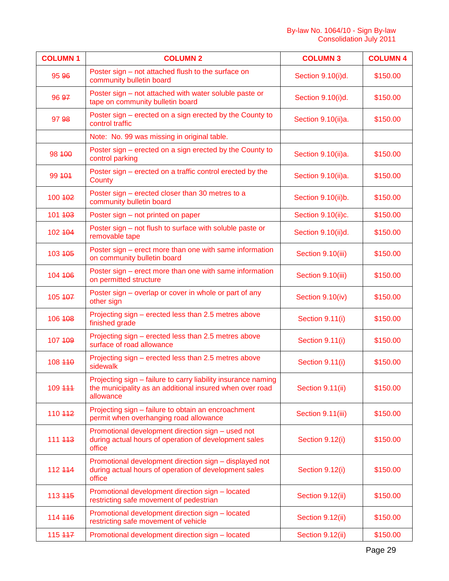| <b>COLUMN1</b> | <b>COLUMN 2</b>                                                                                                                        | <b>COLUMN 3</b>    | <b>COLUMN 4</b> |
|----------------|----------------------------------------------------------------------------------------------------------------------------------------|--------------------|-----------------|
| 95 96          | Poster sign – not attached flush to the surface on<br>community bulletin board                                                         | Section 9.10(i)d.  | \$150.00        |
| 96 97          | Poster sign - not attached with water soluble paste or<br>tape on community bulletin board                                             | Section 9.10(i)d.  | \$150.00        |
| 97 98          | Poster sign - erected on a sign erected by the County to<br>control traffic                                                            | Section 9.10(ii)a. | \$150.00        |
|                | Note: No. 99 was missing in original table.                                                                                            |                    |                 |
| 98 400         | Poster sign – erected on a sign erected by the County to<br>control parking                                                            | Section 9.10(ii)a. | \$150.00        |
| 99 4 04        | Poster sign – erected on a traffic control erected by the<br>County                                                                    | Section 9.10(ii)a. | \$150.00        |
| 100 402        | Poster sign - erected closer than 30 metres to a<br>community bulletin board                                                           | Section 9.10(ii)b. | \$150.00        |
| 101 403        | Poster sign - not printed on paper                                                                                                     | Section 9.10(ii)c. | \$150.00        |
| 102 404        | Poster sign - not flush to surface with soluble paste or<br>removable tape                                                             | Section 9.10(ii)d. | \$150.00        |
| 103 405        | Poster sign – erect more than one with same information<br>on community bulletin board                                                 | Section 9.10(iii)  | \$150.00        |
| 104 406        | Poster sign - erect more than one with same information<br>on permitted structure                                                      | Section 9.10(iii)  | \$150.00        |
| 105 407        | Poster sign - overlap or cover in whole or part of any<br>other sign                                                                   | Section 9.10(iv)   | \$150.00        |
| 106 408        | Projecting sign - erected less than 2.5 metres above<br>finished grade                                                                 | Section 9.11(i)    | \$150.00        |
| 107 409        | Projecting sign – erected less than 2.5 metres above<br>surface of road allowance                                                      | Section 9.11(i)    | \$150.00        |
| 108 440        | Projecting sign – erected less than 2.5 metres above<br>sidewalk                                                                       | Section 9.11(i)    | \$150.00        |
| 109 444        | Projecting sign – failure to carry liability insurance naming<br>the municipality as an additional insured when over road<br>allowance | Section 9.11(ii)   | \$150.00        |
| 110 442        | Projecting sign - failure to obtain an encroachment<br>permit when overhanging road allowance                                          | Section 9.11(iii)  | \$150.00        |
| 111 443        | Promotional development direction sign - used not<br>during actual hours of operation of development sales<br>office                   | Section 9.12(i)    | \$150.00        |
| 112 444        | Promotional development direction sign - displayed not<br>during actual hours of operation of development sales<br>office              | Section 9.12(i)    | \$150.00        |
| 113 445        | Promotional development direction sign - located<br>restricting safe movement of pedestrian                                            | Section 9.12(ii)   | \$150.00        |
| 114 446        | Promotional development direction sign - located<br>restricting safe movement of vehicle                                               | Section 9.12(ii)   | \$150.00        |
| 115 447        | Promotional development direction sign - located                                                                                       | Section 9.12(ii)   | \$150.00        |